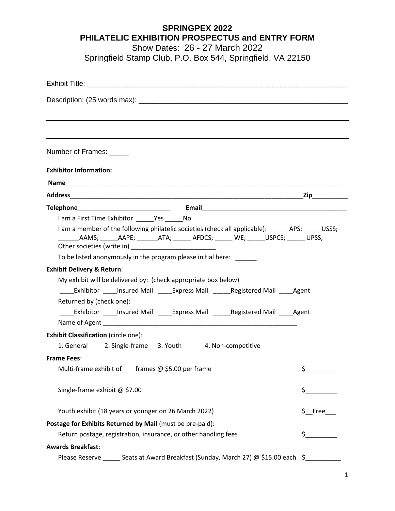## **SPRINGPEX 2022 PHILATELIC EXHIBITION PROSPECTUS and ENTRY FORM**

Show Dates: 26 - 27 March 2022

Springfield Stamp Club, P.O. Box 544, Springfield, VA 22150

| Number of Frames: ______                                                                                                                                                                                                                                                                                                 |
|--------------------------------------------------------------------------------------------------------------------------------------------------------------------------------------------------------------------------------------------------------------------------------------------------------------------------|
| <b>Exhibitor Information:</b>                                                                                                                                                                                                                                                                                            |
|                                                                                                                                                                                                                                                                                                                          |
|                                                                                                                                                                                                                                                                                                                          |
| Telephone <b>Email</b> Email <b>Email Email</b>                                                                                                                                                                                                                                                                          |
| I am a First Time Exhibitor Yes No                                                                                                                                                                                                                                                                                       |
| I am a member of the following philatelic societies (check all applicable): APS; USSS;<br>Other societies (write in) [2001] [2012] [2012] [2012] [2012] [2012] [2012] [2012] [2012] [2012] [2012] [2012] [2012] [2012] [2012] [2012] [2012] [2012] [2012] [2012] [2012] [2012] [2012] [2012] [2012] [2012] [2012] [2012] |
| To be listed anonymously in the program please initial here:                                                                                                                                                                                                                                                             |
| <b>Exhibit Delivery &amp; Return:</b>                                                                                                                                                                                                                                                                                    |
| My exhibit will be delivered by: (check appropriate box below)                                                                                                                                                                                                                                                           |
| Exhibitor _____ Insured Mail ______ Express Mail _______ Registered Mail ______ Agent                                                                                                                                                                                                                                    |
| Returned by (check one):                                                                                                                                                                                                                                                                                                 |
| ______Exhibitor ______Insured Mail _______Express Mail ________Registered Mail ______Agent                                                                                                                                                                                                                               |
| Name of Agent                                                                                                                                                                                                                                                                                                            |
| <b>Exhibit Classification (circle one):</b>                                                                                                                                                                                                                                                                              |
| 1. General 2. Single-frame 3. Youth 4. Non-competitive                                                                                                                                                                                                                                                                   |
| <b>Frame Fees:</b>                                                                                                                                                                                                                                                                                                       |
| Multi-frame exhibit of __ frames @ \$5.00 per frame<br>\$                                                                                                                                                                                                                                                                |
| Single-frame exhibit @ \$7.00<br>$\zeta$ and $\zeta$                                                                                                                                                                                                                                                                     |
| $$$ Free<br>Youth exhibit (18 years or younger on 26 March 2022)                                                                                                                                                                                                                                                         |
| Postage for Exhibits Returned by Mail (must be pre-paid):                                                                                                                                                                                                                                                                |
| Return postage, registration, insurance, or other handling fees                                                                                                                                                                                                                                                          |
| <b>Awards Breakfast:</b>                                                                                                                                                                                                                                                                                                 |
| Please Reserve _______ Seats at Award Breakfast (Sunday, March 27) @ \$15.00 each \$                                                                                                                                                                                                                                     |